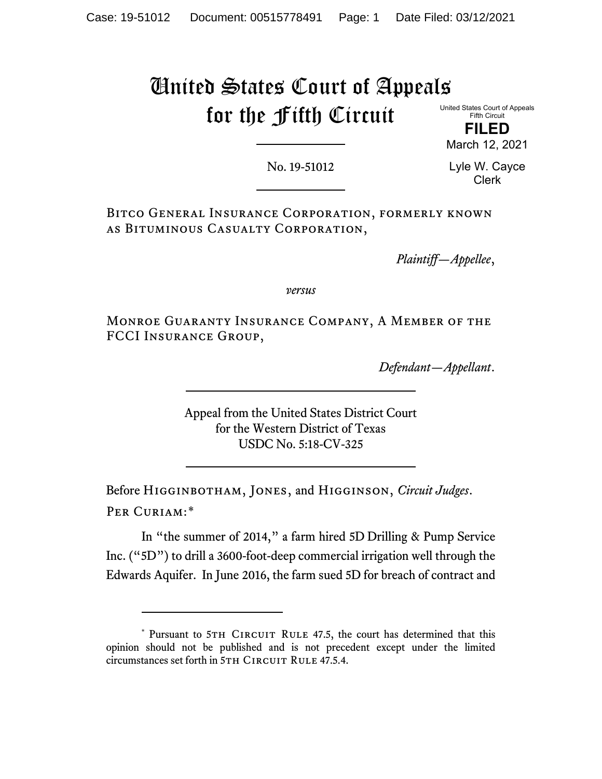# United States Court of Appeals for the Fifth Circuit

United States Court of Appeals Fifth Circuit

**FILED** March 12, 2021

No. 19-51012

Lyle W. Cayce Clerk

Bitco General Insurance Corporation, formerly known as Bituminous Casualty Corporation,

*Plaintiff—Appellee*,

*versus*

Monroe Guaranty Insurance Company, A Member of the FCCI Insurance Group,

*Defendant—Appellant*.

Appeal from the United States District Court for the Western District of Texas USDC No. 5:18-CV-325

Before Higginbotham, Jones, and Higginson, *Circuit Judges*. Per Curiam:[\\*](#page-0-0)

In "the summer of 2014," a farm hired 5D Drilling & Pump Service Inc. ("5D") to drill a 3600-foot-deep commercial irrigation well through the Edwards Aquifer. In June 2016, the farm sued 5D for breach of contract and

<span id="page-0-0"></span><sup>\*</sup> Pursuant to 5TH CIRCUIT RULE 47.5, the court has determined that this opinion should not be published and is not precedent except under the limited circumstances set forth in 5TH CIRCUIT RULE 47.5.4.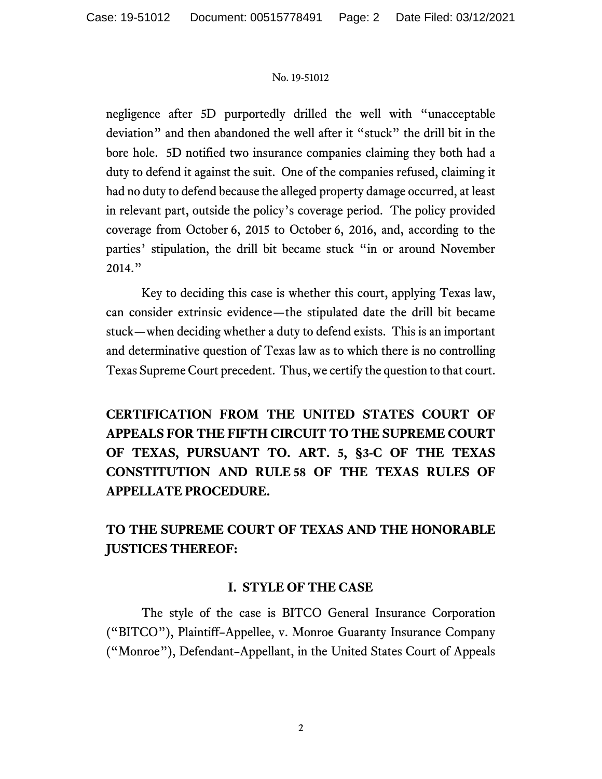negligence after 5D purportedly drilled the well with "unacceptable deviation" and then abandoned the well after it "stuck" the drill bit in the bore hole. 5D notified two insurance companies claiming they both had a duty to defend it against the suit. One of the companies refused, claiming it had no duty to defend because the alleged property damage occurred, at least in relevant part, outside the policy's coverage period. The policy provided coverage from October 6, 2015 to October 6, 2016, and, according to the parties' stipulation, the drill bit became stuck "in or around November 2014."

Key to deciding this case is whether this court, applying Texas law, can consider extrinsic evidence—the stipulated date the drill bit became stuck—when deciding whether a duty to defend exists. This is an important and determinative question of Texas law as to which there is no controlling Texas Supreme Court precedent. Thus, we certify the question to that court.

**CERTIFICATION FROM THE UNITED STATES COURT OF APPEALS FOR THE FIFTH CIRCUIT TO THE SUPREME COURT OF TEXAS, PURSUANT TO. ART. 5, §3-C OF THE TEXAS CONSTITUTION AND RULE 58 OF THE TEXAS RULES OF APPELLATE PROCEDURE.**

## **TO THE SUPREME COURT OF TEXAS AND THE HONORABLE JUSTICES THEREOF:**

## **I. STYLE OF THE CASE**

The style of the case is BITCO General Insurance Corporation ("BITCO"), Plaintiff–Appellee, v. Monroe Guaranty Insurance Company ("Monroe"), Defendant–Appellant, in the United States Court of Appeals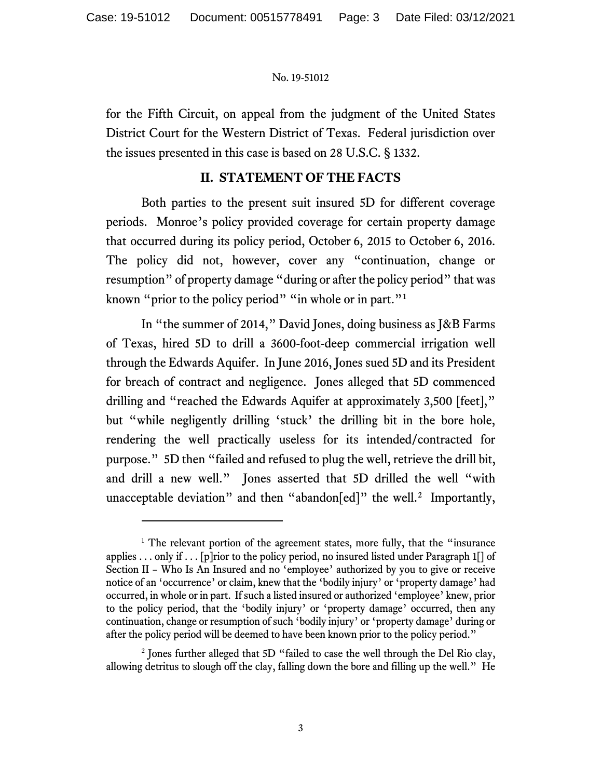for the Fifth Circuit, on appeal from the judgment of the United States District Court for the Western District of Texas. Federal jurisdiction over the issues presented in this case is based on 28 U.S.C. § 1332.

## **II. STATEMENT OF THE FACTS**

Both parties to the present suit insured 5D for different coverage periods. Monroe's policy provided coverage for certain property damage that occurred during its policy period, October 6, 2015 to October 6, 2016. The policy did not, however, cover any "continuation, change or resumption" of property damage "during or after the policy period" that was known "prior to the policy period" "in whole or in part."<sup>[1](#page-2-0)</sup>

In "the summer of 2014," David Jones, doing business as J&B Farms of Texas, hired 5D to drill a 3600-foot-deep commercial irrigation well through the Edwards Aquifer. In June 2016, Jones sued 5D and its President for breach of contract and negligence. Jones alleged that 5D commenced drilling and "reached the Edwards Aquifer at approximately 3,500 [feet]," but "while negligently drilling 'stuck' the drilling bit in the bore hole, rendering the well practically useless for its intended/contracted for purpose." 5D then "failed and refused to plug the well, retrieve the drill bit, and drill a new well." Jones asserted that 5D drilled the well "with unacceptable deviation" and then "abandon[ed]" the well.<sup>[2](#page-2-1)</sup> Importantly,

<span id="page-2-0"></span> $1$  The relevant portion of the agreement states, more fully, that the "insurance" applies . . . only if . . . [p] rior to the policy period, no insured listed under Paragraph  $1[]$  of Section II – Who Is An Insured and no 'employee' authorized by you to give or receive notice of an 'occurrence' or claim, knew that the 'bodily injury' or 'property damage' had occurred, in whole or in part. If such a listed insured or authorized 'employee' knew, prior to the policy period, that the 'bodily injury' or 'property damage' occurred, then any continuation, change or resumption of such 'bodily injury' or 'property damage' during or after the policy period will be deemed to have been known prior to the policy period."

<span id="page-2-1"></span><sup>&</sup>lt;sup>2</sup> Jones further alleged that 5D "failed to case the well through the Del Rio clay, allowing detritus to slough off the clay, falling down the bore and filling up the well." He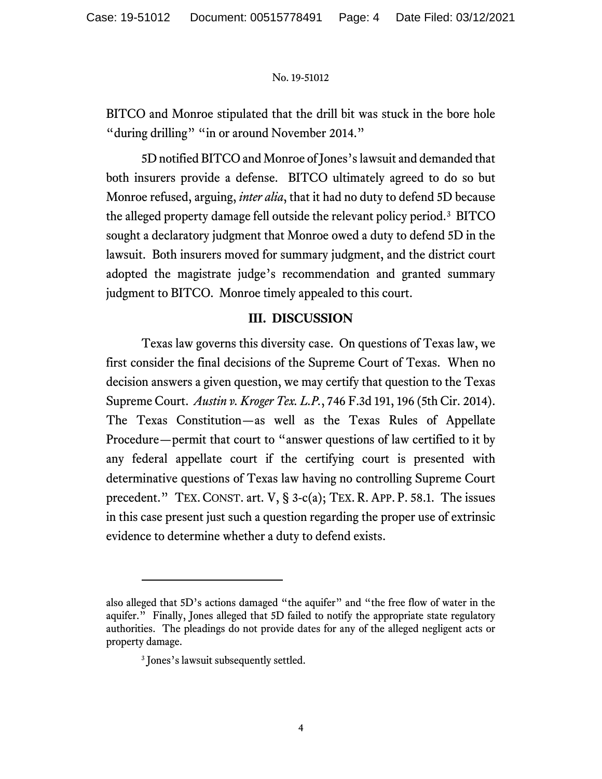BITCO and Monroe stipulated that the drill bit was stuck in the bore hole "during drilling" "in or around November 2014."

5D notified BITCO and Monroe of Jones's lawsuit and demanded that both insurers provide a defense. BITCO ultimately agreed to do so but Monroe refused, arguing, *inter alia*, that it had no duty to defend 5D because the alleged property damage fell outside the relevant policy period.<sup>[3](#page-3-0)</sup> BITCO sought a declaratory judgment that Monroe owed a duty to defend 5D in the lawsuit. Both insurers moved for summary judgment, and the district court adopted the magistrate judge's recommendation and granted summary judgment to BITCO. Monroe timely appealed to this court.

## **III. DISCUSSION**

Texas law governs this diversity case. On questions of Texas law, we first consider the final decisions of the Supreme Court of Texas. When no decision answers a given question, we may certify that question to the Texas Supreme Court. *Austin v. Kroger Tex. L.P.*, 746 F.3d 191, 196 (5th Cir. 2014). The Texas Constitution—as well as the Texas Rules of Appellate Procedure—permit that court to "answer questions of law certified to it by any federal appellate court if the certifying court is presented with determinative questions of Texas law having no controlling Supreme Court precedent." TEX. CONST. art. V, § 3-c(a); TEX. R. APP. P. 58.1. The issues in this case present just such a question regarding the proper use of extrinsic evidence to determine whether a duty to defend exists.

<span id="page-3-0"></span>also alleged that 5D's actions damaged "the aquifer" and "the free flow of water in the aquifer." Finally, Jones alleged that 5D failed to notify the appropriate state regulatory authorities. The pleadings do not provide dates for any of the alleged negligent acts or property damage.

<sup>&</sup>lt;sup>3</sup> Jones's lawsuit subsequently settled.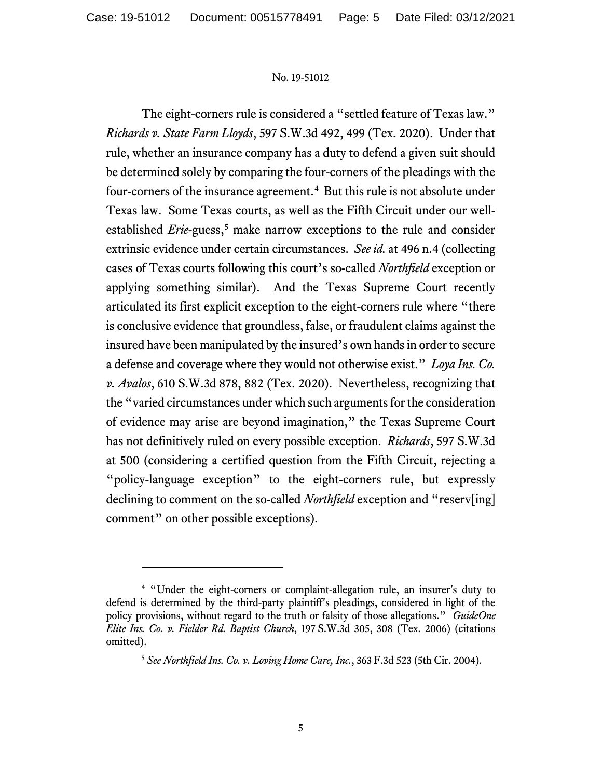The eight-corners rule is considered a "settled feature of Texas law." *Richards v. State Farm Lloyds*, 597 S.W.3d 492, 499 (Tex. 2020). Under that rule, whether an insurance company has a duty to defend a given suit should be determined solely by comparing the four-corners of the pleadings with the four-corners of the insurance agreement.<sup>[4](#page-4-0)</sup> But this rule is not absolute under Texas law. Some Texas courts, as well as the Fifth Circuit under our wellestablished *Erie*-guess,<sup>[5](#page-4-1)</sup> make narrow exceptions to the rule and consider extrinsic evidence under certain circumstances. *See id.* at 496 n.4 (collecting cases of Texas courts following this court's so-called *Northfield* exception or applying something similar). And the Texas Supreme Court recently articulated its first explicit exception to the eight-corners rule where "there is conclusive evidence that groundless, false, or fraudulent claims against the insured have been manipulated by the insured's own hands in order to secure a defense and coverage where they would not otherwise exist." *Loya Ins. Co. v. Avalos*, 610 S.W.3d 878, 882 (Tex. 2020). Nevertheless, recognizing that the "varied circumstances under which such arguments for the consideration of evidence may arise are beyond imagination," the Texas Supreme Court has not definitively ruled on every possible exception. *Richards*, 597 S.W.3d at 500 (considering a certified question from the Fifth Circuit, rejecting a "policy-language exception" to the eight-corners rule, but expressly declining to comment on the so-called *Northfield* exception and "reserv[ing] comment" on other possible exceptions).

<span id="page-4-1"></span><span id="page-4-0"></span><sup>4</sup> "Under the eight-corners or complaint-allegation rule, an insurer's duty to defend is determined by the third-party plaintiff's pleadings, considered in light of the policy provisions, without regard to the truth or falsity of those allegations." *GuideOne Elite Ins. Co. v. Fielder Rd. Baptist Church*, 197 S.W.3d 305, 308 (Tex. 2006) (citations omitted).

<sup>5</sup> *See Northfield Ins. Co. v. Loving Home Care, Inc.*, 363 F.3d 523 (5th Cir. 2004)*.*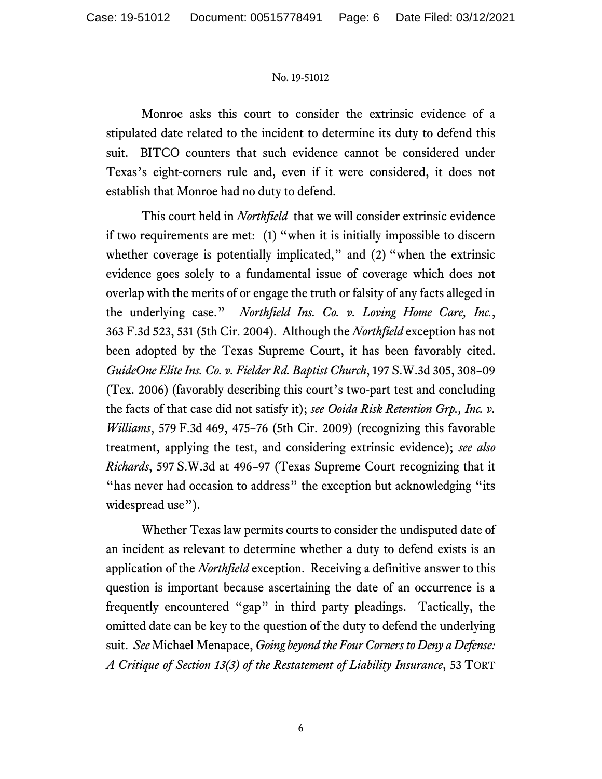Monroe asks this court to consider the extrinsic evidence of a stipulated date related to the incident to determine its duty to defend this suit. BITCO counters that such evidence cannot be considered under Texas's eight-corners rule and, even if it were considered, it does not establish that Monroe had no duty to defend.

This court held in *Northfield* that we will consider extrinsic evidence if two requirements are met: (1) "when it is initially impossible to discern whether coverage is potentially implicated," and (2) "when the extrinsic evidence goes solely to a fundamental issue of coverage which does not overlap with the merits of or engage the truth or falsity of any facts alleged in the underlying case." *Northfield Ins. Co. v. Loving Home Care, Inc.*, 363 F.3d 523, 531 (5th Cir. 2004). Although the *Northfield* exception has not been adopted by the Texas Supreme Court, it has been favorably cited. *GuideOne Elite Ins. Co. v. Fielder Rd. Baptist Church*, 197 S.W.3d 305, 308–09 (Tex. 2006) (favorably describing this court's two-part test and concluding the facts of that case did not satisfy it); *see Ooida Risk Retention Grp., Inc. v. Williams*, 579 F.3d 469, 475–76 (5th Cir. 2009) (recognizing this favorable treatment, applying the test, and considering extrinsic evidence); *see also Richards*, 597 S.W.3d at 496–97 (Texas Supreme Court recognizing that it "has never had occasion to address" the exception but acknowledging "its" widespread use").

Whether Texas law permits courts to consider the undisputed date of an incident as relevant to determine whether a duty to defend exists is an application of the *Northfield* exception. Receiving a definitive answer to this question is important because ascertaining the date of an occurrence is a frequently encountered "gap" in third party pleadings. Tactically, the omitted date can be key to the question of the duty to defend the underlying suit. *See* Michael Menapace, *Going beyond the Four Corners to Deny a Defense: A Critique of Section 13(3) of the Restatement of Liability Insurance*, 53 TORT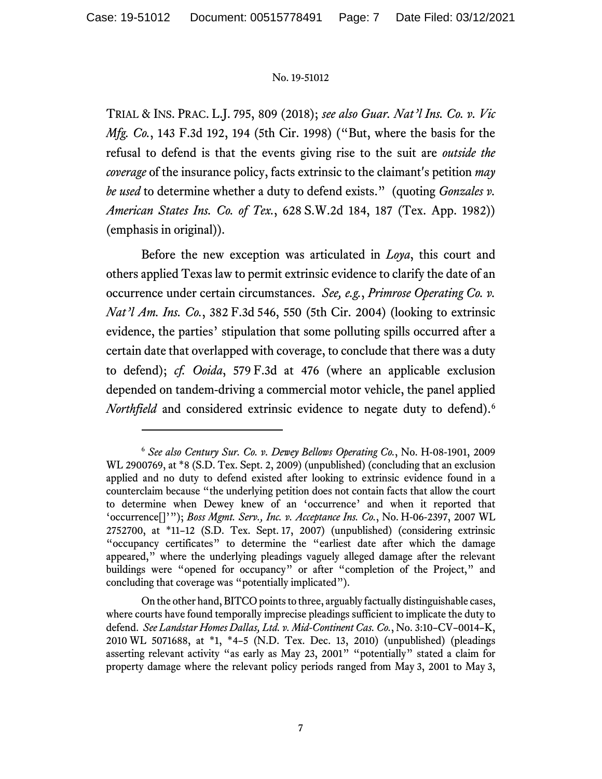TRIAL & INS. PRAC. L.J. 795, 809 (2018); *see also Guar. Nat'l Ins. Co. v. Vic Mfg. Co.*, 143 F.3d 192, 194 (5th Cir. 1998) ("But, where the basis for the refusal to defend is that the events giving rise to the suit are *outside the coverage* of the insurance policy, facts extrinsic to the claimant's petition *may be used* to determine whether a duty to defend exists." (quoting *Gonzales v. American States Ins. Co. of Tex.*, 628 S.W.2d 184, 187 (Tex. App. 1982)) (emphasis in original)).

Before the new exception was articulated in *Loya*, this court and others applied Texas law to permit extrinsic evidence to clarify the date of an occurrence under certain circumstances. *See, e.g.*, *Primrose Operating Co. v. Nat'l Am. Ins. Co.*, 382 F.3d 546, 550 (5th Cir. 2004) (looking to extrinsic evidence, the parties' stipulation that some polluting spills occurred after a certain date that overlapped with coverage, to conclude that there was a duty to defend); *cf. Ooida*, 579 F.3d at 476 (where an applicable exclusion depended on tandem-driving a commercial motor vehicle, the panel applied *Northfield* and considered extrinsic evidence to negate duty to defend). [6](#page-6-0)

<span id="page-6-0"></span><sup>6</sup> *See also Century Sur. Co. v. Dewey Bellows Operating Co.*, No. H-08-1901, 2009 WL 2900769, at \*8 (S.D. Tex. Sept. 2, 2009) (unpublished) (concluding that an exclusion applied and no duty to defend existed after looking to extrinsic evidence found in a counterclaim because "the underlying petition does not contain facts that allow the court to determine when Dewey knew of an 'occurrence' and when it reported that 'occurrence[]'"); *Boss Mgmt. Serv., Inc. v. Acceptance Ins. Co.*, No. H-06-2397, 2007 WL 2752700, at \*11–12 (S.D. Tex. Sept. 17, 2007) (unpublished) (considering extrinsic "occupancy certificates" to determine the "earliest date after which the damage appeared," where the underlying pleadings vaguely alleged damage after the relevant buildings were "opened for occupancy" or after "completion of the Project," and concluding that coverage was "potentially implicated").

On the other hand, BITCO points to three, arguably factually distinguishable cases, where courts have found temporally imprecise pleadings sufficient to implicate the duty to defend. *See Landstar Homes Dallas, Ltd. v. Mid-Continent Cas. Co.*, No. 3:10–CV–0014–K, 2010 WL 5071688, at \*1, \*4–5 (N.D. Tex. Dec. 13, 2010) (unpublished) (pleadings asserting relevant activity "as early as May 23, 2001" "potentially" stated a claim for property damage where the relevant policy periods ranged from May 3, 2001 to May 3,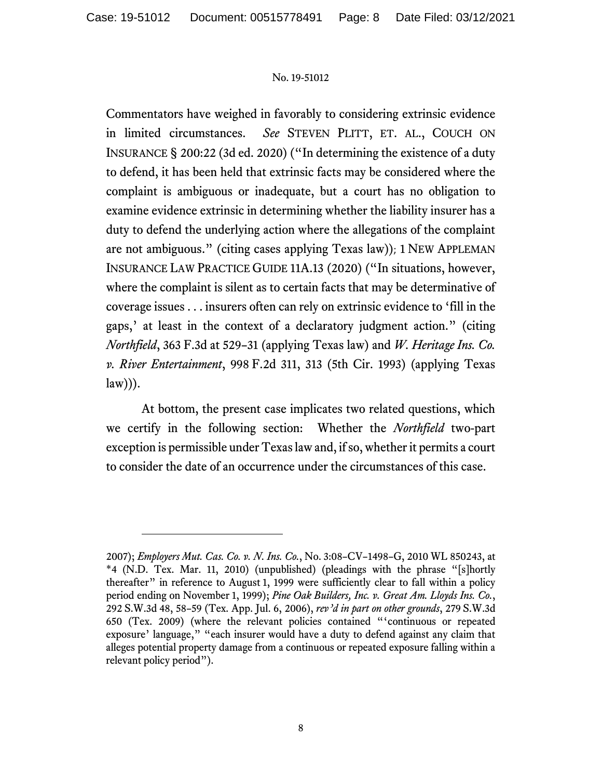Commentators have weighed in favorably to considering extrinsic evidence in limited circumstances. *See* STEVEN PLITT, ET. AL., COUCH ON INSURANCE § 200:22 (3d ed. 2020) ("In determining the existence of a duty to defend, it has been held that extrinsic facts may be considered where the complaint is ambiguous or inadequate, but a court has no obligation to examine evidence extrinsic in determining whether the liability insurer has a duty to defend the underlying action where the allegations of the complaint are not ambiguous." (citing cases applying Texas law)); 1 NEW APPLEMAN INSURANCE LAW PRACTICE GUIDE 11A.13 (2020) ("In situations, however, where the complaint is silent as to certain facts that may be determinative of coverage issues . . . insurers often can rely on extrinsic evidence to 'fill in the gaps,' at least in the context of a declaratory judgment action." (citing *Northfield*, 363 F.3d at 529–31 (applying Texas law) and *W. Heritage Ins. Co. v. River Entertainment*, 998 F.2d 311, 313 (5th Cir. 1993) (applying Texas  $law))$ .

At bottom, the present case implicates two related questions, which we certify in the following section: Whether the *Northfield* two-part exception is permissible under Texas lawand, if so, whether it permits a court to consider the date of an occurrence under the circumstances of this case.

<sup>2007);</sup> *Employers Mut. Cas. Co. v. N. Ins. Co.*, No. 3:08–CV–1498–G, 2010 WL 850243, at \*4 (N.D. Tex. Mar. 11, 2010) (unpublished) (pleadings with the phrase "[s]hortly thereafter" in reference to August 1, 1999 were sufficiently clear to fall within a policy period ending on November 1, 1999); *Pine Oak Builders, Inc. v. Great Am. Lloyds Ins. Co.*, 292 S.W.3d 48, 58–59 (Tex. App. Jul. 6, 2006), *rev'd in part on other grounds*, 279 S.W.3d 650 (Tex. 2009) (where the relevant policies contained "'continuous or repeated exposure' language," "each insurer would have a duty to defend against any claim that alleges potential property damage from a continuous or repeated exposure falling within a relevant policy period").